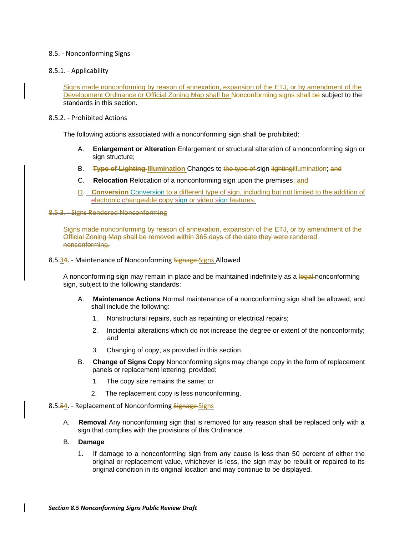## 8.5. - Nonconforming Signs

8.5.1. - Applicability

Signs made nonconforming by reason of annexation, expansion of the ETJ, or by amendment of the Development Ordinance or Official Zoning Map shall be Nonconforming signs shall be subject to the standards in this section.

## 8.5.2. - Prohibited Actions

The following actions associated with a nonconforming sign shall be prohibited:

- A. **Enlargement or Alteration** Enlargement or structural alteration of a nonconforming sign or sign structure;
- B. **Type of Lighting Illumination** Changes to the type of sign lightingillumination; and
- C. **Relocation** Relocation of a nonconforming sign upon the premises; and
- D. **Conversion** Conversion to a different type of sign, including but not limited to the addition of electronic changeable copy sign or video sign features.

## 8.5.3. - Signs Rendered Nonconforming

Signs made nonconforming by reason of annexation, expansion of the ETJ, or by amendment of the Official Zoning Map shall be removed within 365 days of the date they were rendered nonconforming.

8.5.34. - Maintenance of Nonconforming Signage Signs Allowed

A nonconforming sign may remain in place and be maintained indefinitely as a legal-nonconforming sign, subject to the following standards:

- A. **Maintenance Actions** Normal maintenance of a nonconforming sign shall be allowed, and shall include the following:
	- 1. Nonstructural repairs, such as repainting or electrical repairs;
	- 2. Incidental alterations which do not increase the degree or extent of the nonconformity; and
	- 3. Changing of copy, as provided in this section.
- B. **Change of Signs Copy** Nonconforming signs may change copy in the form of replacement panels or replacement lettering, provided:
	- 1. The copy size remains the same; or
	- 2. The replacement copy is less nonconforming.
- 8.5.54. Replacement of Nonconforming Signage-Signs
	- A. **Removal** Any nonconforming sign that is removed for any reason shall be replaced only with a sign that complies with the provisions of this Ordinance.

## B. **Damage**

1. If damage to a nonconforming sign from any cause is less than 50 percent of either the original or replacement value, whichever is less, the sign may be rebuilt or repaired to its original condition in its original location and may continue to be displayed.